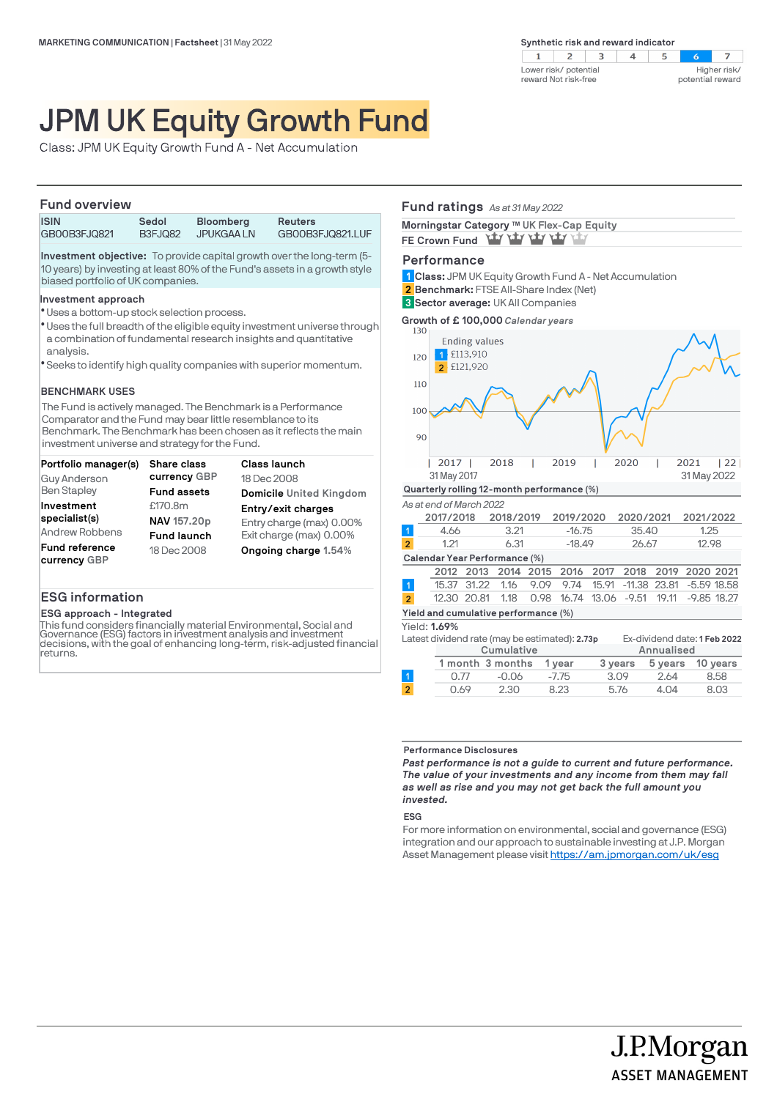$\overline{z}$  $\mathbf{1}$  $\overline{z}$  $\overline{\mathbf{3}}$  $\overline{4}$  $5^{\circ}$  $\sim$ Higher risk/ Lower risk/ potential reward Not risk-free potential reward

# JPM UK Equity Growth Fund

Class: JPM UK Equity Growth Fund A - Net Accumulation

### **Fund overview**

| .                           |                         |                                |                                    |
|-----------------------------|-------------------------|--------------------------------|------------------------------------|
| <b>ISIN</b><br>GB00B3FJQ821 | Sedol<br><b>B3FJ082</b> | <b>Bloomberg</b><br>JPUKGAA LN | <b>Reuters</b><br>GB00B3FJQ821.LUF |
|                             |                         |                                |                                    |

**Investment objective:** To provide capital growth over the long-term (5- 10 years) by investing at least 80% of the Fund's assets in a growth style biased portfolio of UK companies.

### **Investment approach**

- Uses a bottom-up stock selection process. l
- \* Uses the full breadth of the eligible equity investment universe through a combination of fundamental research insights and quantitative analysis.
- Seeks to identify high quality companies with superior momentum. l

### **BENCHMARK USES**

The Fund is actively managed. The Benchmark is a Performance Comparator and the Fund may bear little resemblance to its Benchmark. The Benchmark has been chosen as it reflects the main investment universe and strategy for the Fund.

| Portfolio manager(s)  | <b>Share class</b> | <b>Class launch</b>      |
|-----------------------|--------------------|--------------------------|
| Guy Anderson          | currency GBP       | 18 Dec 2008              |
| <b>Ben Stapley</b>    | <b>Fund assets</b> | Domicile United Kingdom  |
| Investment            | £170.8m            | Entry/exit charges       |
| specialist(s)         | NAV 157.20p        | Entry charge (max) 0.00% |
| Andrew Robbens        | <b>Fund launch</b> | Exit charge (max) 0.00%  |
| <b>Fund reference</b> | 18 Dec 2008        | Ongoing charge 1.54%     |
| currency GBP          |                    |                          |

### **ESG information**

### **ESG approach - Integrated**

This fund considers financially material Environmental, Social and Governance (ESG) factors in investment analysis and investment decisions, with the goal of enhancing long-term, risk-adjusted financial returns.

### **Fund ratings** *As at 31 May 2022*

| Morningstar Category ™ UK Flex-Cap Equity |
|-------------------------------------------|
| FE Crown Fund Yay Yay Yay Yay Yay         |

### **Performance**

**Class:** JPM UK Equity Growth Fund A - Net Accumulation **1 Benchmark:** FTSE All-Share Index (Net) **2 Sector average:** UK All Companies **3**



# **Performance Disclosures**

*Past performance is not a guide to current and future performance. The value of your investments and any income from them may fall as well as rise and you may not get back the full amount you invested.* 

0.77 -0.06 -7.75 3.09 2.64 8.58 0.69 2.30 8.23 5.76 4.04 8.03

#### **ESG**

For more information on environmental, social and governance (ESG) integration and our approach to sustainable investing at J.P. Morgan Asset Management please visit https://am.jpmorgan.com/uk/esg

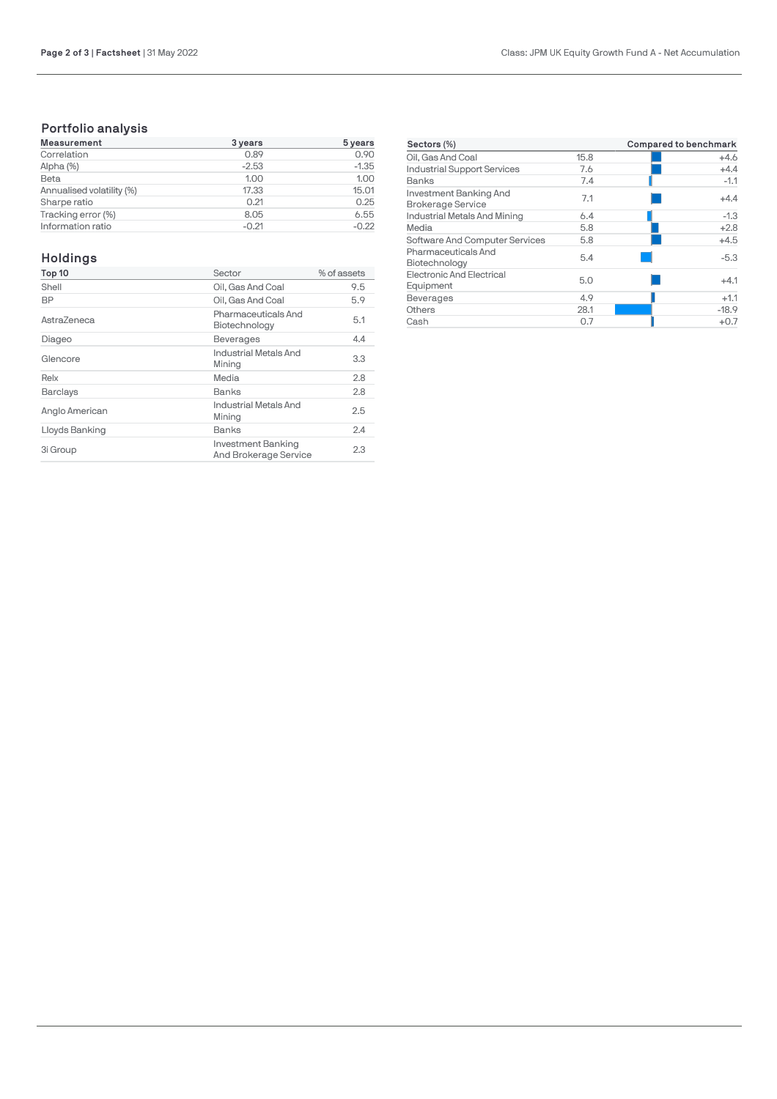# **Portfolio analysis**

| <b>Measurement</b>        | 3 years | 5 years |
|---------------------------|---------|---------|
| Correlation               | 0.89    | 0.90    |
| Alpha (%)                 | $-2.53$ | $-1.35$ |
| Beta                      | 1.00    | 1.00    |
| Annualised volatility (%) | 17.33   | 15.01   |
| Sharpe ratio              | 0.21    | 0.25    |
| Tracking error (%)        | 8.05    | 6.55    |
| Information ratio         | $-0.21$ | $-0.22$ |

## **Holdings**

| Top 10          | Sector                                      | % of assets |
|-----------------|---------------------------------------------|-------------|
| Shell           | Oil. Gas And Coal                           | 9.5         |
| BP              | Oil, Gas And Coal                           | 5.9         |
| AstraZeneca     | Pharmaceuticals And<br>Biotechnology        | 5.1         |
| Diageo          | <b>Beverages</b>                            | 4.4         |
| Glencore        | Industrial Metals And<br>Mining             | 3.3         |
| Relx            | Media                                       | 2.8         |
| <b>Barclays</b> | Banks                                       | 2.8         |
| Anglo American  | Industrial Metals And<br>Mining             | 2.5         |
| Lloyds Banking  | <b>Banks</b>                                | 2.4         |
| 3i Group        | Investment Banking<br>And Brokerage Service | 2.3         |

| Sectors (%)                                        | <b>Compared to benchmark</b> |         |
|----------------------------------------------------|------------------------------|---------|
| Oil, Gas And Coal                                  | 15.8                         | $+4.6$  |
| <b>Industrial Support Services</b>                 | 7.6                          | $+4.4$  |
| Banks                                              | 7.4                          | $-1.1$  |
| Investment Banking And<br><b>Brokerage Service</b> | 7.1                          | $+4.4$  |
| Industrial Metals And Mining                       | 6.4                          | $-1.3$  |
| Media                                              | 5.8                          | $+2.8$  |
| Software And Computer Services                     | 5.8                          | $+4.5$  |
| Pharmaceuticals And<br>Biotechnology               | 5.4                          | $-5.3$  |
| <b>Electronic And Electrical</b><br>Equipment      | 5.0                          | $+4.1$  |
| <b>Beverages</b>                                   | 4.9                          | $+1.1$  |
| Others                                             | 28.1                         | $-18.9$ |
| Cash                                               | 0.7                          | $+0.7$  |